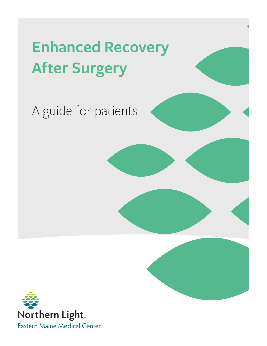# **Enhanced Recovery After Surgery**

# A guide for patients

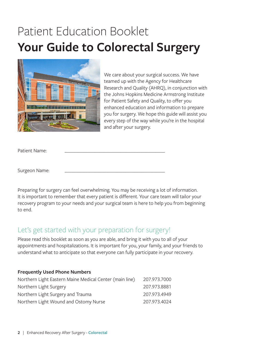## Patient Education Booklet **Your Guide to Colorectal Surgery**



We care about your surgical success. We have teamed up with the Agency for Healthcare Research and Quality (AHRQ), in conjunction with the Johns Hopkins Medicine Armstrong Institute for Patient Safety and Quality, to offer you enhanced education and information to prepare you for surgery. We hope this guide will assist you every step of the way while you're in the hospital and after your surgery.

Patient Name:

Surgeon Name:

Preparing for surgery can feel overwhelming. You may be receiving a lot of information. It is important to remember that every patient is different. Your care team will tailor your recovery program to your needs and your surgical team is here to help you from beginning to end.

### Let's get started with your preparation for surgery!

Please read this booklet as soon as you are able, and bring it with you to all of your appointments and hospitalizations. It is important for you, your family, and your friends to understand what to anticipate so that everyone can fully participate in your recovery.

#### **Frequently Used Phone Numbers**

| Northern Light Eastern Maine Medical Center (main line) | 207.973.7000 |
|---------------------------------------------------------|--------------|
| Northern Light Surgery                                  | 207.973.8881 |
| Northern Light Surgery and Trauma                       | 207.973.4949 |
| Northern Light Wound and Ostomy Nurse                   | 207.973.4024 |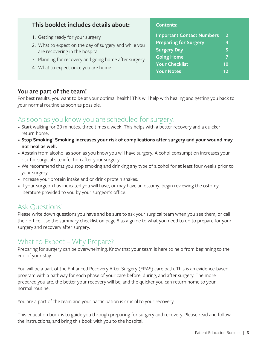### **This booklet includes details about:**

**Contents:**

| 1. Getting ready for your surgery            |
|----------------------------------------------|
| 2 What to support on the day of current case |

- 2. What to expect on the day of surgery and while you are recovering in the hospital
- 3. Planning for recovery and going home after surgery
- 4. What to expect once you are home

#### **Important Contact Numbers 2 Preparing for Surgery 4 Surgery Day 5 Going Home 7**

**Your Checklist 10 Your Notes 12**

**You are part of the team!**

For best results, you want to be at your optimal health! This will help with healing and getting you back to your normal routine as soon as possible.

### As soon as you know you are scheduled for surgery:

- Start walking for 20 minutes, three times a week. This helps with a better recovery and a quicker return home.
- **Stop Smoking! Smoking increases your risk of complications after surgery and your wound may not heal as well.**
- Abstain from alcohol as soon as you know you will have surgery. Alcohol consumption increases your risk for surgical site infection after your surgery.
- We recommend that you stop smoking and drinking any type of alcohol for at least four weeks prior to your surgery.
- Increase your protein intake and or drink protein shakes.
- If your surgeon has indicated you will have, or may have an ostomy, begin reviewing the ostomy literature provided to you by your surgeon's office.

## Ask Questions!

Please write down questions you have and be sure to ask your surgical team when you see them, or call their office. Use the summary checklist on page 8 as a guide to what you need to do to prepare for your surgery and recovery after surgery.

## What to Expect – Why Prepare?

Preparing for surgery can be overwhelming. Know that your team is here to help from beginning to the end of your stay.

You will be a part of the Enhanced Recovery After Surgery (ERAS) care path. This is an evidence-based program with a pathway for each phase of your care before, during, and after surgery. The more prepared you are, the better your recovery will be, and the quicker you can return home to your normal routine.

You are a part of the team and your participation is crucial to your recovery.

This education book is to guide you through preparing for surgery and recovery. Please read and follow the instructions, and bring this book with you to the hospital.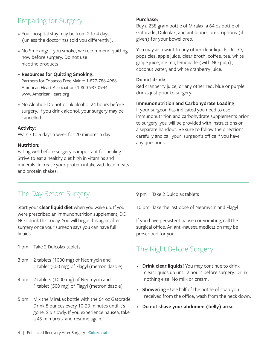## Preparing for Surgery

- Your hospital stay may be from 2 to 4 days (unless the doctor has told you differently).
- No Smoking: If you smoke, we recommend quitting now before surgery. Do not use nicotine products.
- **Resources for Quitting Smoking:** Partners for Tobacco Free Maine: 1-877-786-4986 American Heart Association: 1-800-937-0944 www.AmericanHeart.org
- No Alcohol: Do not drink alcohol 24 hours before surgery. If you drink alcohol, your surgery may be cancelled.

#### **Activity:**

Walk 3 to 5 days a week for 20 minutes a day.

#### **Nutrition:**

Eating well before surgery is important for healing. Strive to eat a healthy diet high in vitamins and minerals. Increase your protein intake with lean meats and protein shakes.

#### **Purchase:**

Buy a 238 gram bottle of Miralax, a 64 oz bottle of Gatorade, Dulcolax, and antibiotics prescriptions (if given) for your bowel prep.

You may also want to buy other clear liquids: Jell-O, popsicles, apple juice, clear broth, coffee, tea, white grape juice, ice tea, lemonade (with NO pulp), coconut water, and white cranberry juice.

#### **Do not drink:**

Red cranberry juice, or any other red, blue or purple drinks just prior to surgery.

#### **Immunonutrition and Carbohydrate Loading**

If your surgeon has indicated you need to use immunonutrition and carbohydrate supplements prior to surgery, you will be provided with instructions on a separate handout. Be sure to follow the directions carefully and call your surgeon's office if you have any questions.

## The Day Before Surgery

Start your **clear liquid diet** when you wake up. If you were prescribed an Immunonutrition supplement, DO NOT drink this today. You will begin this again after surgery once your surgeon says you can have full liquids.

- 1 pm Take 2 Dulcolax tablets
- 3 pm 2 tablets (1000 mg) of Neomycin and 1 tablet (500 mg) of Flagyl (metronidazole)
- 4 pm 2 tablets (1000 mg) of Neomycin and 1 tablet (500 mg) of Flagyl (metronidazole)
- 5 pm Mix the MiraLax bottle with the 64 oz Gatorade Drink 8 ounces every 10-20 minutes until it's gone. Sip slowly. If you experience nausea, take a 45 min break and resume again.

9 pm Take 2 Dulcolax tablets

10 pm Take the last dose of Neomycin and Flagyl

If you have persistent nausea or vomiting, call the surgical office. An anti-nausea medication may be prescribed for you.

## The Night Before Surgery

- **Drink clear liquids!** You may continue to drink clear liquids up until 2 hours before surgery. Drink nothing else. No milk or cream.
- **Showering** Use half of the bottle of soap you received from the office, wash from the neck down.
- **Do not shave your abdomen (belly) area.**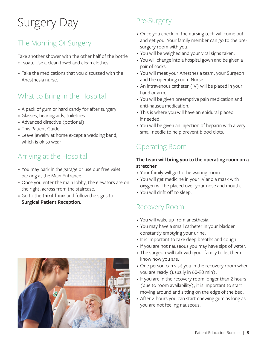# Surgery Day

## The Morning Of Surgery

Take another shower with the other half of the bottle of soap. Use a clean towel and clean clothes.

• Take the medications that you discussed with the Anesthesia nurse.

## What to Bring in the Hospital

- A pack of gum or hard candy for after surgery
- Glasses, hearing aids, toiletries
- Advanced directive (optional)
- This Patient Guide
- Leave jewelry at home except a wedding band, which is ok to wear

## Arriving at the Hospital

- You may park in the garage or use our free valet parking at the Main Entrance.
- Once you enter the main lobby, the elevators are on the right, across from the staircase.
- Go to the **third floor** and follow the signs to **Surgical Patient Reception.**



## Pre-Surgery

- Once you check in, the nursing tech will come out and get you. Your family member can go to the presurgery room with you.
- You will be weighed and your vital signs taken.
- You will change into a hospital gown and be given a pair of socks.
- You will meet your Anesthesia team, your Surgeon and the operating room Nurse.
- An intravenous catheter (IV) will be placed in your hand or arm.
- You will be given preemptive pain medication and anti-nausea medication.
- This is where you will have an epidural placed if needed.
- You will be given an injection of heparin with a very small needle to help prevent blood clots.

## Operating Room

#### **The team will bring you to the operating room on a stretcher**

- Your family will go to the waiting room.
- You will get medicine in your IV and a mask with oxygen will be placed over your nose and mouth.
- You will drift off to sleep.

## Recovery Room

- You will wake up from anesthesia.
- You may have a small catheter in your bladder constantly emptying your urine.
- It is important to take deep breaths and cough.
- If you are not nauseous you may have sips of water.
- The surgeon will talk with your family to let them know how you are.
- One person can visit you in the recovery room when you are ready (usually in 60-90 min).
- If you are in the recovery room longer than 2 hours (due to room availability), it is important to start moving around and sitting on the edge of the bed.
- After 2 hours you can start chewing gum as long as you are not feeling nauseous.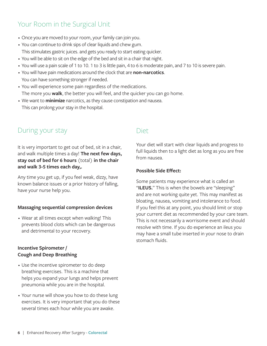## Your Room in the Surgical Unit

- Once you are moved to your room, your family can join you.
- You can continue to drink sips of clear liquids and chew gum. This stimulates gastric juices. and gets you ready to start eating quicker.
- You will be able to sit on the edge of the bed and sit in a chair that night.
- You will use a pain scale of 1 to 10. 1 to 3 is little pain, 4 to 6 is moderate pain, and 7 to 10 is severe pain.
- You will have pain medications around the clock that are **non-narcotics**. You can have something stronger if needed.
- You will experience some pain regardless of the medications. The more you **walk**, the better you will feel, and the quicker you can go home.
- We want to **minimize** narcotics, as they cause constipation and nausea. This can prolong your stay in the hospital.

## During your stay

It is very important to get out of bed, sit in a chair, and walk multiple times a day! **The next few days, stay out of bed for 6 hours** (total) **in the chair and walk 3-5 times each day,.**

Any time you get up, if you feel weak, dizzy, have known balance issues or a prior history of falling, have your nurse help you.

#### **Massaging sequential compression devices**

• Wear at all times except when walking! This prevents blood clots which can be dangerous and detrimental to your recovery.

#### **Incentive Spirometer / Cough and Deep Breathing**

- Use the incentive spirometer to do deep breathing exercises. This is a machine that helps you expand your lungs and helps prevent pneumonia while you are in the hospital.
- Your nurse will show you how to do these lung exercises. It is very important that you do these several times each hour while you are awake.

#### Diet

Your diet will start with clear liquids and progress to full liquids then to a light diet as long as you are free from nausea.

#### **Possible Side Effect:**

Some patients may experience what is called an "**ILEUS.**" This is when the bowels are "sleeping" and are not working quite yet. This may manifest as bloating, nausea, vomiting and intolerance to food. If you feel this at any point, you should limit or stop your current diet as recommended by your care team. This is not necessarily a worrisome event and should resolve with time. If you do experience an ileus you may have a small tube inserted in your nose to drain stomach fluids.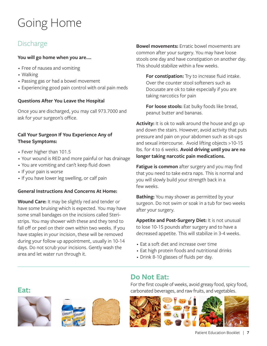## Going Home

## Discharge

#### **You will go home when you are….**

- Free of nausea and vomiting
- Walking
- Passing gas or had a bowel movement
- Experiencing good pain control with oral pain meds

#### **Questions After You Leave the Hospital**

Once you are discharged, you may call 973.7000 and ask for your surgeon's office.

#### **Call Your Surgeon If You Experience Any of These Symptoms:**

- Fever higher than 101.5
- Your wound is RED and more painful or has drainage
- You are vomiting and can't keep fluid down
- If your pain is worse

**Eat:**

• If you have lower leg swelling, or calf pain

#### **General Instructions And Concerns At Home:**

**Wound Care:** It may be slightly red and tender or have some bruising which is expected. You may have some small bandages on the incisions called Steristrips. You may shower with these and they tend to fall off or peel on their own within two weeks. If you have staples in your incision, these will be removed during your follow up appointment, usually in 10-14 days. Do not scrub your incisions. Gently wash the area and let water run through it.

 $m<sub>1</sub>$ 

**Bowel movements:** Erratic bowel movements are common after your surgery. You may have loose stools one day and have constipation on another day. This should stabilize within a few weeks.

**For constipation:** Try to increase fluid intake. Over the counter stool softeners such as Docusate are ok to take especially if you are taking narcotics for pain

**For loose stools:** Eat bulky foods like bread, peanut butter and bananas.

**Activity:** It is ok to walk around the house and go up and down the stairs. However, avoid activity that puts pressure and pain on your abdomen such as sit-ups and sexual intercourse. Avoid lifting objects >10-15 lbs. for 4 to 6 weeks. **Avoid driving until you are no longer taking narcotic pain medications.**

**Fatigue is common** after surgery and you may find that you need to take extra naps. This is normal and you will slowly build your strength back in a few weeks.

**Bathing:** You may shower as permitted by your surgeon. Do not swim or soak in a tub for two weeks after your surgery.

**Appetite and Post-Surgery Diet:** It is not unusual to lose 10-15 pounds after surgery and to have a decreased appetite. This will stabilize in 3-4 weeks.

- Eat a soft diet and increase over time
- Eat high protein foods and nutritional drinks
- Drink 8-10 glasses of fluids per day.

## **Do Not Eat:**

For the first couple of weeks, avoid greasy food, spicy food, carbonated beverages, and raw fruits, and vegetables.

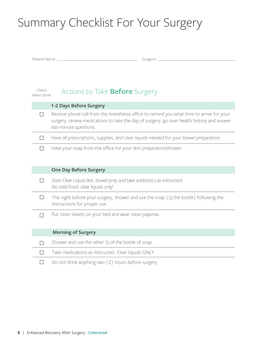## Summary Checklist For Your Surgery

Patient Name: \_\_\_\_\_\_\_\_\_\_\_\_\_\_\_\_\_\_\_\_\_\_\_\_\_\_\_\_\_\_\_\_\_\_\_\_\_\_\_\_\_\_\_ Surgeon: \_\_\_\_\_\_\_\_\_\_\_\_\_\_\_\_\_\_\_\_\_\_\_\_\_\_\_\_\_\_\_\_\_\_\_\_\_\_\_\_\_

| Check<br>when done | Actions to Take <b>Before</b> Surgery                                                                                                                                                                           |
|--------------------|-----------------------------------------------------------------------------------------------------------------------------------------------------------------------------------------------------------------|
|                    | 1-2 Days Before Surgery                                                                                                                                                                                         |
|                    | Receive phone call from the Anesthesia office to remind you what time to arrive for your<br>surgery, review medications to take the day of surgery, go over health history and answer<br>last-minute questions. |

 $\Box$ Have all prescriptions, supplies, and clear liquids needed for your bowel preparation.

 $\Box$ Have your soap from the office for your skin preparation/shower.

#### **One Day Before Surgery**

 $\Box$ Start Clear Liquid diet, bowel prep and take antibiotics as instructed. No solid food: clear liquids only!

- $\Box$ The night before your surgery, shower and use the soap  $(\frac{1}{2})$  the bottle) following the instructions for proper use.
- Put clean sheets on your bed and wear clean pajamas.  $\Box$

#### **Morning of Surgery**

- $\Box$ Shower and use the other  $\frac{1}{2}$  of the bottle of soap.
- $\Box$ Take medications as instructed. Clear liquids ONLY.
- $\Box$ Do not drink anything two (2) hours before surgery.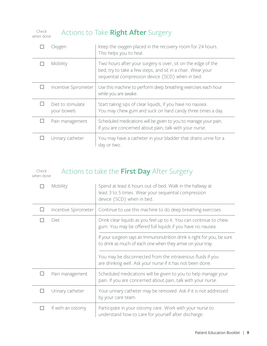| Check     | A |
|-----------|---|
| when done |   |

## Actions to Take **Right After** Surgery

| Oxygen                           | Keep the oxygen placed in the recovery room for 24 hours.<br>This helps you to heal.                                                                                            |
|----------------------------------|---------------------------------------------------------------------------------------------------------------------------------------------------------------------------------|
| Mobility                         | Two hours after your surgery is over, sit on the edge of the<br>bed, try to take a few steps, and sit in a chair. Wear your<br>sequential compression device (SCD) when in bed. |
| Incentive Spirometer             | Use this machine to perform deep breathing exercises each hour<br>while you are awake.                                                                                          |
| Diet to stimulate<br>your bowels | Start taking sips of clear liquids, if you have no nausea.<br>You may chew gum and suck on hard candy three times a day.                                                        |
| Pain management                  | Scheduled medications will be given to you to manage your pain.<br>If you are concerned about pain, talk with your nurse.                                                       |
| Urinary catheter                 | You may have a catheter in your bladder that drains urine for a<br>day or two.                                                                                                  |

#### Actions to take the **First Day** After Surgery Check

when done

| Mobility             | Spend at least 6 hours out of bed. Walk in the hallway at<br>least 3 to 5 times. Wear your sequential compression<br>device (SCD) when in bed. |
|----------------------|------------------------------------------------------------------------------------------------------------------------------------------------|
| Incentive Spirometer | Continue to use this machine to do deep breathing exercises.                                                                                   |
| Diet                 | Drink clear liquids as you feel up to it. You can continue to chew<br>gum. You may be offered full liquids if you have no nausea.              |
|                      | If your surgeon says an Immunonutrition drink is right for you, be sure<br>to drink as much of each one when they arrive on your tray.         |
|                      | You may be disconnected from the intravenous fluids if you<br>are drinking well. Ask your nurse if it has not been done.                       |
| Pain management      | Scheduled medications will be given to you to help manage your<br>pain. If you are concerned about pain, talk with your nurse.                 |
| Urinary catheter     | Your urinary catheter may be removed. Ask if it is not addressed<br>by your care team.                                                         |
| If with an ostomy    | Participate in your ostomy care. Work with your nurse to<br>understand how to care for yourself after discharge.                               |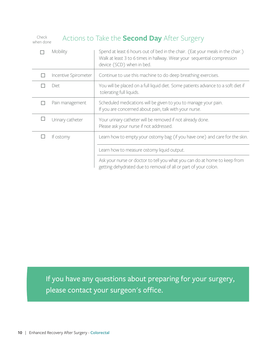| Check<br>Actions to Take the <b>Second Day</b> After Surgery<br>when done |                      |                                                                                                                                                                                        |
|---------------------------------------------------------------------------|----------------------|----------------------------------------------------------------------------------------------------------------------------------------------------------------------------------------|
|                                                                           | Mobility             | Spend at least 6 hours out of bed in the chair. (Eat your meals in the chair.)<br>Walk at least 3 to 6 times in hallway. Wear your sequential compression<br>device (SCD) when in bed. |
|                                                                           | Incentive Spirometer | Continue to use this machine to do deep breathing exercises.                                                                                                                           |
|                                                                           | Diet                 | You will be placed on a full liquid diet. Some patients advance to a soft diet if<br>tolerating full liquids.                                                                          |
|                                                                           | Pain management      | Scheduled medications will be given to you to manage your pain.<br>If you are concerned about pain, talk with your nurse.                                                              |
|                                                                           | Urinary catheter     | Your urinary catheter will be removed if not already done.<br>Please ask your nurse if not addressed.                                                                                  |
|                                                                           | If ostomy            | Learn how to empty your ostomy bag (if you have one) and care for the skin.                                                                                                            |
|                                                                           |                      | Learn how to measure ostomy liquid output.                                                                                                                                             |
|                                                                           |                      | Ask your nurse or doctor to tell you what you can do at home to keep from<br>getting dehydrated due to removal of all or part of your colon.                                           |

If you have any questions about preparing for your surgery, please contact your surgeon's office.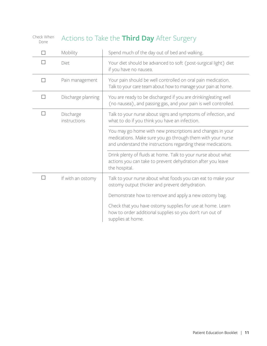Check When Done

## Actions to Take the **Third Day** After Surgery

|        | Mobility                  | Spend much of the day out of bed and walking.                                                                                                                                            |
|--------|---------------------------|------------------------------------------------------------------------------------------------------------------------------------------------------------------------------------------|
| П      | Diet                      | Your diet should be advanced to soft (post-surgical light) diet<br>if you have no nausea.                                                                                                |
| п      | Pain management           | Your pain should be well controlled on oral pain medication.<br>Talk to your care team about how to manage your pain at home.                                                            |
| п      | Discharge planning        | You are ready to be discharged if you are drinking/eating well<br>(no nausea), and passing gas, and your pain is well controlled.                                                        |
| $\Box$ | Discharge<br>instructions | Talk to your nurse about signs and symptoms of infection, and<br>what to do if you think you have an infection.                                                                          |
|        |                           | You may go home with new prescriptions and changes in your<br>medications. Make sure you go through them with your nurse<br>and understand the instructions regarding these medications. |
|        |                           | Drink plenty of fluids at home. Talk to your nurse about what<br>actions you can take to prevent dehydration after you leave<br>the hospital.                                            |
|        | If with an ostomy         | Talk to your nurse about what foods you can eat to make your<br>ostomy output thicker and prevent dehydration.                                                                           |
|        |                           | Demonstrate how to remove and apply a new ostomy bag.                                                                                                                                    |
|        |                           | Check that you have ostomy supplies for use at home. Learn<br>how to order additional supplies so you don't run out of<br>supplies at home.                                              |